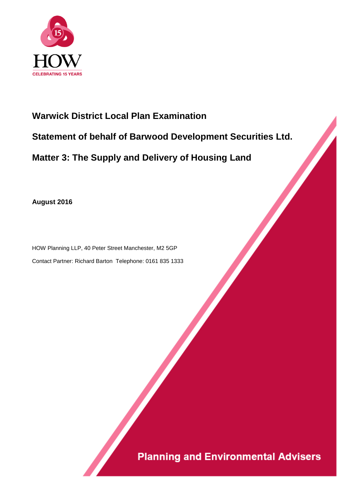

# **Warwick District Local Plan Examination Statement of behalf of Barwood Development Securities Ltd. Matter 3: The Supply and Delivery of Housing Land**

**August 2016**

HOW Planning LLP, 40 Peter Street Manchester, M2 5GP Contact Partner: Richard Barton Telephone: 0161 835 1333

# **Planning and Environmental Advisers**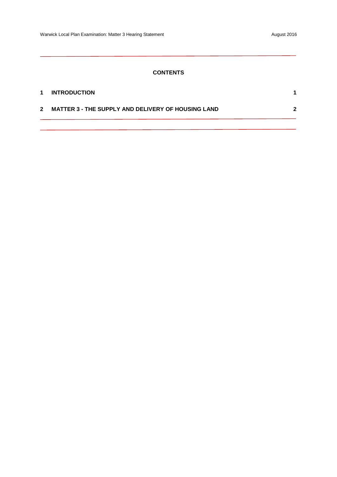# **CONTENTS**

| $\mathbf 1$  | <b>INTRODUCTION</b>                                       |   |
|--------------|-----------------------------------------------------------|---|
| $\mathbf{2}$ | <b>MATTER 3 - THE SUPPLY AND DELIVERY OF HOUSING LAND</b> | 2 |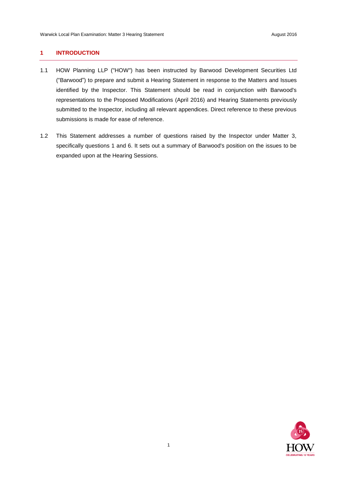## <span id="page-2-0"></span>**1 INTRODUCTION**

- 1.1 HOW Planning LLP ("HOW") has been instructed by Barwood Development Securities Ltd ("Barwood") to prepare and submit a Hearing Statement in response to the Matters and Issues identified by the Inspector. This Statement should be read in conjunction with Barwood's representations to the Proposed Modifications (April 2016) and Hearing Statements previously submitted to the Inspector, including all relevant appendices. Direct reference to these previous submissions is made for ease of reference.
- 1.2 This Statement addresses a number of questions raised by the Inspector under Matter 3, specifically questions 1 and 6. It sets out a summary of Barwood's position on the issues to be expanded upon at the Hearing Sessions.

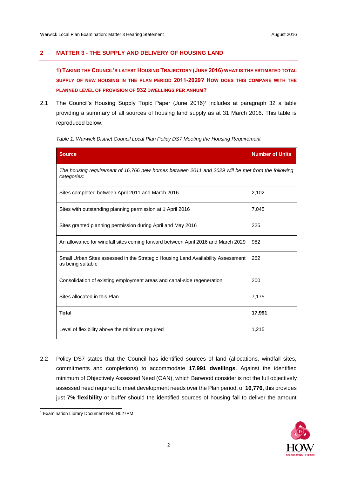# <span id="page-3-0"></span>**2 MATTER 3 - THE SUPPLY AND DELIVERY OF HOUSING LAND**

**1) TAKING THE COUNCIL'S LATEST HOUSING TRAJECTORY (JUNE 2016) WHAT IS THE ESTIMATED TOTAL SUPPLY OF NEW HOUSING IN THE PLAN PERIOD 2011-2029? HOW DOES THIS COMPARE WITH THE PLANNED LEVEL OF PROVISION OF 932 DWELLINGS PER ANNUM?**

2.1 The Council's Housing Supply Topic Paper (June 2016)<sup>1</sup> includes at paragraph 32 a table providing a summary of all sources of housing land supply as at 31 March 2016. This table is reproduced below.

*Table 1: Warwick District Council Local Plan Policy DS7 Meeting the Housing Requirement* 

| <b>Source</b>                                                                                                   | <b>Number of Units</b> |  |
|-----------------------------------------------------------------------------------------------------------------|------------------------|--|
| The housing requirement of 16,766 new homes between 2011 and 2029 will be met from the following<br>categories: |                        |  |
| Sites completed between April 2011 and March 2016                                                               | 2,102                  |  |
| Sites with outstanding planning permission at 1 April 2016                                                      | 7,045                  |  |
| Sites granted planning permission during April and May 2016                                                     | 225                    |  |
| An allowance for windfall sites coming forward between April 2016 and March 2029                                | 982                    |  |
| Small Urban Sites assessed in the Strategic Housing Land Availability Assessment<br>as being suitable           | 262                    |  |
| Consolidation of existing employment areas and canal-side regeneration                                          | 200                    |  |
| Sites allocated in this Plan                                                                                    | 7,175                  |  |
| <b>Total</b>                                                                                                    | 17,991                 |  |
| Level of flexibility above the minimum required                                                                 | 1,215                  |  |

2.2 Policy DS7 states that the Council has identified sources of land (allocations, windfall sites, commitments and completions) to accommodate **17,991 dwellings**. Against the identified minimum of Objectively Assessed Need (OAN), which Barwood consider is not the full objectively assessed need required to meet development needs over the Plan period, of **16,776**, this provides just **7% flexibility** or buffer should the identified sources of housing fail to deliver the amount



l <sup>1</sup> Examination Library Document Ref. H027PM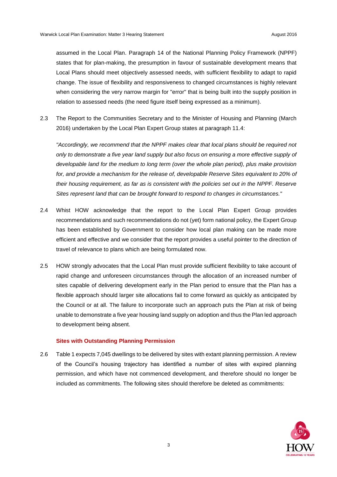assumed in the Local Plan. Paragraph 14 of the National Planning Policy Framework (NPPF) states that for plan-making, the presumption in favour of sustainable development means that Local Plans should meet objectively assessed needs, with sufficient flexibility to adapt to rapid change. The issue of flexibility and responsiveness to changed circumstances is highly relevant when considering the very narrow margin for "error" that is being built into the supply position in relation to assessed needs (the need figure itself being expressed as a minimum).

2.3 The Report to the Communities Secretary and to the Minister of Housing and Planning (March 2016) undertaken by the Local Plan Expert Group states at paragraph 11.4:

*"Accordingly, we recommend that the NPPF makes clear that local plans should be required not only to demonstrate a five year land supply but also focus on ensuring a more effective supply of developable land for the medium to long term (over the whole plan period), plus make provision for, and provide a mechanism for the release of, developable Reserve Sites equivalent to 20% of their housing requirement, as far as is consistent with the policies set out in the NPPF. Reserve Sites represent land that can be brought forward to respond to changes in circumstances."*

- 2.4 Whist HOW acknowledge that the report to the Local Plan Expert Group provides recommendations and such recommendations do not (yet) form national policy, the Expert Group has been established by Government to consider how local plan making can be made more efficient and effective and we consider that the report provides a useful pointer to the direction of travel of relevance to plans which are being formulated now.
- 2.5 HOW strongly advocates that the Local Plan must provide sufficient flexibility to take account of rapid change and unforeseen circumstances through the allocation of an increased number of sites capable of delivering development early in the Plan period to ensure that the Plan has a flexible approach should larger site allocations fail to come forward as quickly as anticipated by the Council or at all. The failure to incorporate such an approach puts the Plan at risk of being unable to demonstrate a five year housing land supply on adoption and thus the Plan led approach to development being absent.

#### **Sites with Outstanding Planning Permission**

2.6 Table 1 expects 7,045 dwellings to be delivered by sites with extant planning permission. A review of the Council's housing trajectory has identified a number of sites with expired planning permission, and which have not commenced development, and therefore should no longer be included as commitments. The following sites should therefore be deleted as commitments:

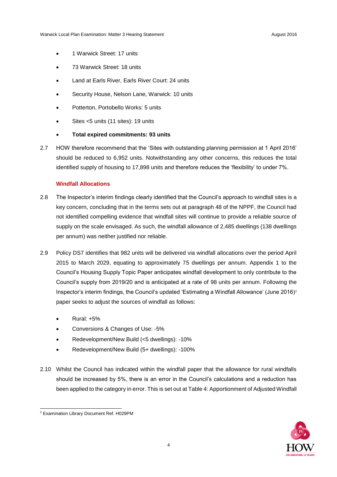- 1 Warwick Street: 17 units
- 73 Warwick Street: 18 units
- Land at Earls River, Earls River Court: 24 units
- Security House, Nelson Lane, Warwick: 10 units
- Potterton, Portobello Works: 5 units
- Sites <5 units (11 sites): 19 units
- **Total expired commitments: 93 units**
- 2.7 HOW therefore recommend that the 'Sites with outstanding planning permission at 1 April 2016' should be reduced to 6,952 units. Notwithstanding any other concerns, this reduces the total identified supply of housing to 17,898 units and therefore reduces the 'flexibility' to under 7%.

### **Windfall Allocations**

- 2.8 The Inspector's interim findings clearly identified that the Council's approach to windfall sites is a key concern, concluding that in the terms sets out at paragraph 48 of the NPPF, the Council had not identified compelling evidence that windfall sites will continue to provide a reliable source of supply on the scale envisaged. As such, the windfall allowance of 2,485 dwellings (138 dwellings per annum) was neither justified nor reliable.
- 2.9 Policy DS7 identifies that 982 units will be delivered via windfall allocations over the period April 2015 to March 2029, equating to approximately 75 dwellings per annum. Appendix 1 to the Council's Housing Supply Topic Paper anticipates windfall development to only contribute to the Council's supply from 2019/20 and is anticipated at a rate of 98 units per annum. Following the Inspector's interim findings, the Council's updated 'Estimating a Windfall Allowance' (June 2016)<sup>2</sup> paper seeks to adjust the sources of windfall as follows:
	- Rural: +5%
	- Conversions & Changes of Use: -5%
	- Redevelopment/New Build (<5 dwellings): -10%
	- Redevelopment/New Build (5+ dwellings): -100%
- 2.10 Whilst the Council has indicated within the windfall paper that the allowance for rural windfalls should be increased by 5%, there is an error in the Council's calculations and a reduction has been applied to the category in error. This is set out at Table 4: Apportionment of Adjusted Windfall



l <sup>2</sup> Examination Library Document Ref. H029PM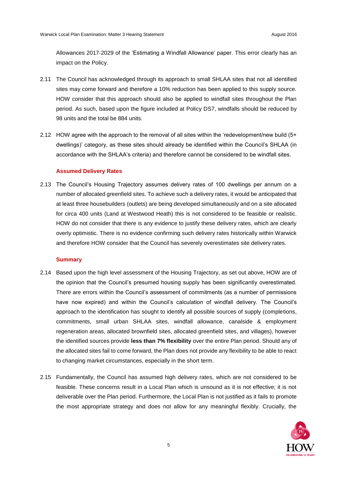Allowances 2017-2029 of the 'Estimating a Windfall Allowance' paper. This error clearly has an impact on the Policy.

- 2.11 The Council has acknowledged through its approach to small SHLAA sites that not all identified sites may come forward and therefore a 10% reduction has been applied to this supply source. HOW consider that this approach should also be applied to windfall sites throughout the Plan period. As such, based upon the figure included at Policy DS7, windfalls should be reduced by 98 units and the total be 884 units.
- 2.12 HOW agree with the approach to the removal of all sites within the 'redevelopment/new build (5+ dwellings)' category, as these sites should already be identified within the Council's SHLAA (in accordance with the SHLAA's criteria) and therefore cannot be considered to be windfall sites.

#### **Assumed Delivery Rates**

2.13 The Council's Housing Trajectory assumes delivery rates of 100 dwellings per annum on a number of allocated greenfield sites. To achieve such a delivery rates, it would be anticipated that at least three housebuilders (outlets) are being developed simultaneously and on a site allocated for circa 400 units (Land at Westwood Heath) this is not considered to be feasible or realistic. HOW do not consider that there is any evidence to justify these delivery rates, which are clearly overly optimistic. There is no evidence confirming such delivery rates historically within Warwick and therefore HOW consider that the Council has severely overestimates site delivery rates.

#### **Summary**

- 2.14 Based upon the high level assessment of the Housing Trajectory, as set out above, HOW are of the opinion that the Council's presumed housing supply has been significantly overestimated. There are errors within the Council's assessment of commitments (as a number of permissions have now expired) and within the Council's calculation of windfall delivery. The Council's approach to the identification has sought to identify all possible sources of supply (completions, commitments, small urban SHLAA sites, windfall allowance, canalside & employment regeneration areas, allocated brownfield sites, allocated greenfield sites, and villages), however the identified sources provide **less than 7% flexibility** over the entire Plan period. Should any of the allocated sites fail to come forward, the Plan does not provide any flexibility to be able to react to changing market circumstances, especially in the short term.
- 2.15 Fundamentally, the Council has assumed high delivery rates, which are not considered to be feasible. These concerns result in a Local Plan which is unsound as it is not effective; it is not deliverable over the Plan period. Furthermore, the Local Plan is not justified as it fails to promote the most appropriate strategy and does not allow for any meaningful flexibly. Crucially, the

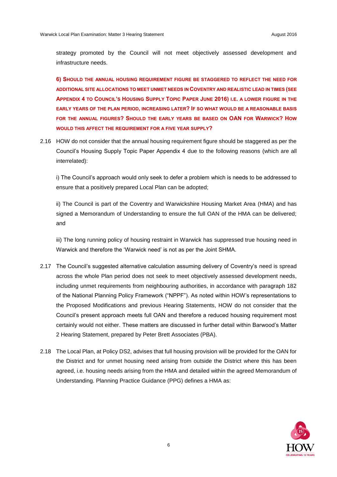strategy promoted by the Council will not meet objectively assessed development and infrastructure needs.

**6) SHOULD THE ANNUAL HOUSING REQUIREMENT FIGURE BE STAGGERED TO REFLECT THE NEED FOR ADDITIONAL SITE ALLOCATIONS TO MEET UNMET NEEDS IN COVENTRY AND REALISTIC LEAD IN TIMES (SEE**  APPENDIX 4 TO COUNCIL'S HOUSING SUPPLY TOPIC PAPER JUNE 2016) I.E. A LOWER FIGURE IN THE **EARLY YEARS OF THE PLAN PERIOD, INCREASING LATER? IF SO WHAT WOULD BE A REASONABLE BASIS FOR THE ANNUAL FIGURES? SHOULD THE EARLY YEARS BE BASED ON OAN FOR WARWICK? HOW WOULD THIS AFFECT THE REQUIREMENT FOR A FIVE YEAR SUPPLY?**

2.16 HOW do not consider that the annual housing requirement figure should be staggered as per the Council's Housing Supply Topic Paper Appendix 4 due to the following reasons (which are all interrelated):

i) The Council's approach would only seek to defer a problem which is needs to be addressed to ensure that a positively prepared Local Plan can be adopted;

ii) The Council is part of the Coventry and Warwickshire Housing Market Area (HMA) and has signed a Memorandum of Understanding to ensure the full OAN of the HMA can be delivered; and

iii) The long running policy of housing restraint in Warwick has suppressed true housing need in Warwick and therefore the 'Warwick need' is not as per the Joint SHMA.

- 2.17 The Council's suggested alternative calculation assuming delivery of Coventry's need is spread across the whole Plan period does not seek to meet objectively assessed development needs, including unmet requirements from neighbouring authorities, in accordance with paragraph 182 of the National Planning Policy Framework ("NPPF"). As noted within HOW's representations to the Proposed Modifications and previous Hearing Statements, HOW do not consider that the Council's present approach meets full OAN and therefore a reduced housing requirement most certainly would not either. These matters are discussed in further detail within Barwood's Matter 2 Hearing Statement, prepared by Peter Brett Associates (PBA).
- 2.18 The Local Plan, at Policy DS2, advises that full housing provision will be provided for the OAN for the District and for unmet housing need arising from outside the District where this has been agreed, i.e. housing needs arising from the HMA and detailed within the agreed Memorandum of Understanding. Planning Practice Guidance (PPG) defines a HMA as:

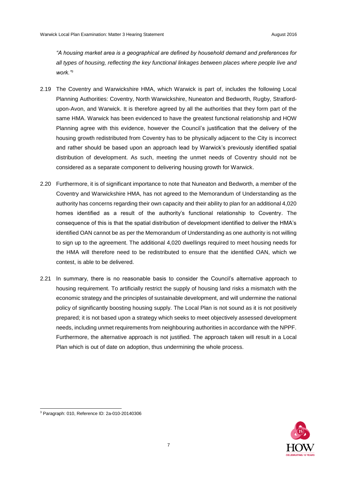*"A housing market area is a geographical are defined by household demand and preferences for all types of housing, reflecting the key functional linkages between places where people live and work."<sup>3</sup>*

- 2.19 The Coventry and Warwickshire HMA, which Warwick is part of, includes the following Local Planning Authorities: Coventry, North Warwickshire, Nuneaton and Bedworth, Rugby, Stratfordupon-Avon, and Warwick. It is therefore agreed by all the authorities that they form part of the same HMA. Warwick has been evidenced to have the greatest functional relationship and HOW Planning agree with this evidence, however the Council's justification that the delivery of the housing growth redistributed from Coventry has to be physically adjacent to the City is incorrect and rather should be based upon an approach lead by Warwick's previously identified spatial distribution of development. As such, meeting the unmet needs of Coventry should not be considered as a separate component to delivering housing growth for Warwick.
- 2.20 Furthermore, it is of significant importance to note that Nuneaton and Bedworth, a member of the Coventry and Warwickshire HMA, has not agreed to the Memorandum of Understanding as the authority has concerns regarding their own capacity and their ability to plan for an additional 4,020 homes identified as a result of the authority's functional relationship to Coventry. The consequence of this is that the spatial distribution of development identified to deliver the HMA's identified OAN cannot be as per the Memorandum of Understanding as one authority is not willing to sign up to the agreement. The additional 4,020 dwellings required to meet housing needs for the HMA will therefore need to be redistributed to ensure that the identified OAN, which we contest, is able to be delivered.
- 2.21 In summary, there is no reasonable basis to consider the Council's alternative approach to housing requirement. To artificially restrict the supply of housing land risks a mismatch with the economic strategy and the principles of sustainable development, and will undermine the national policy of significantly boosting housing supply. The Local Plan is not sound as it is not positively prepared; it is not based upon a strategy which seeks to meet objectively assessed development needs, including unmet requirements from neighbouring authorities in accordance with the NPPF. Furthermore, the alternative approach is not justified. The approach taken will result in a Local Plan which is out of date on adoption, thus undermining the whole process.

l

<sup>3</sup> Paragraph: 010, Reference ID: 2a-010-20140306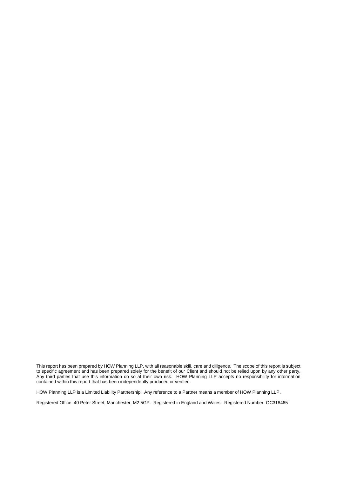This report has been prepared by HOW Planning LLP, with all reasonable skill, care and diligence. The scope of this report is subject to specific agreement and has been prepared solely for the benefit of our Client and should not be relied upon by any other party. Any third parties that use this information do so at their own risk. HOW Planning LLP accepts no responsibility for information contained within this report that has been independently produced or verified.

HOW Planning LLP is a Limited Liability Partnership. Any reference to a Partner means a member of HOW Planning LLP.

Registered Office: 40 Peter Street, Manchester, M2 5GP. Registered in England and Wales. Registered Number: OC318465